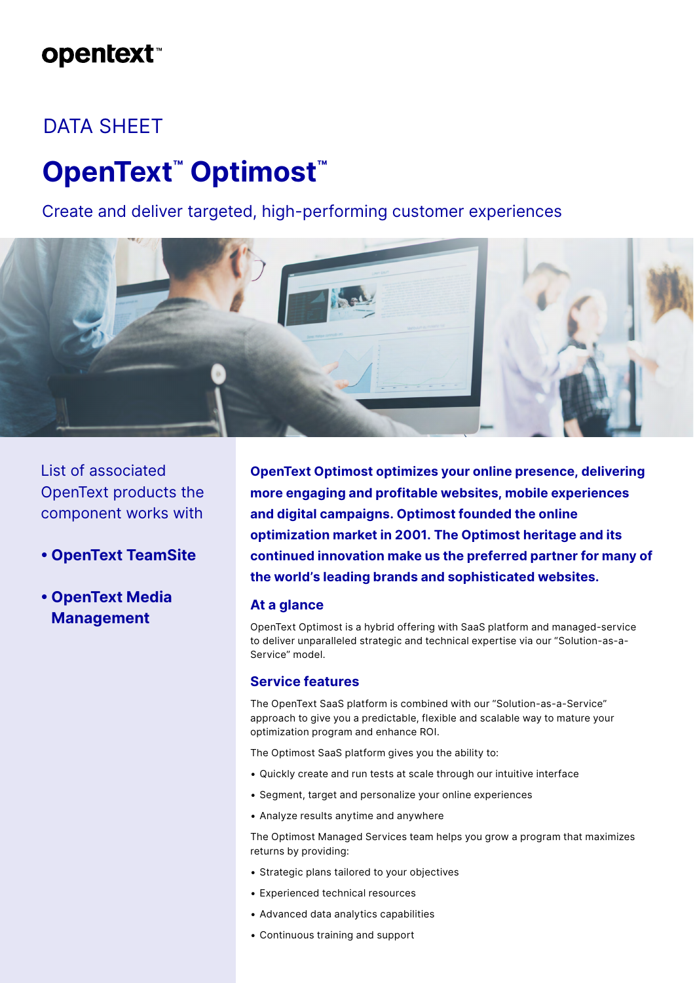## **opentext**™

## DATA SHEET

# **OpenText™ Optimost™**

Create and deliver targeted, high-performing customer experiences



List of associated OpenText products the component works with

- **OpenText TeamSite**
- **OpenText Media Management**

**OpenText Optimost optimizes your online presence, delivering more engaging and profitable websites, mobile experiences and digital campaigns. Optimost founded the online optimization market in 2001. The Optimost heritage and its continued innovation make us the preferred partner for many of the world's leading brands and sophisticated websites.**

## **At a glance**

OpenText Optimost is a hybrid offering with SaaS platform and managed-service to deliver unparalleled strategic and technical expertise via our "Solution-as-a-Service" model.

## **Service features**

The OpenText SaaS platform is combined with our "Solution-as-a-Service" approach to give you a predictable, flexible and scalable way to mature your optimization program and enhance ROI.

The Optimost SaaS platform gives you the ability to:

- Quickly create and run tests at scale through our intuitive interface
- Segment, target and personalize your online experiences
- Analyze results anytime and anywhere

The Optimost Managed Services team helps you grow a program that maximizes returns by providing:

- Strategic plans tailored to your objectives
- Experienced technical resources
- Advanced data analytics capabilities
- Continuous training and support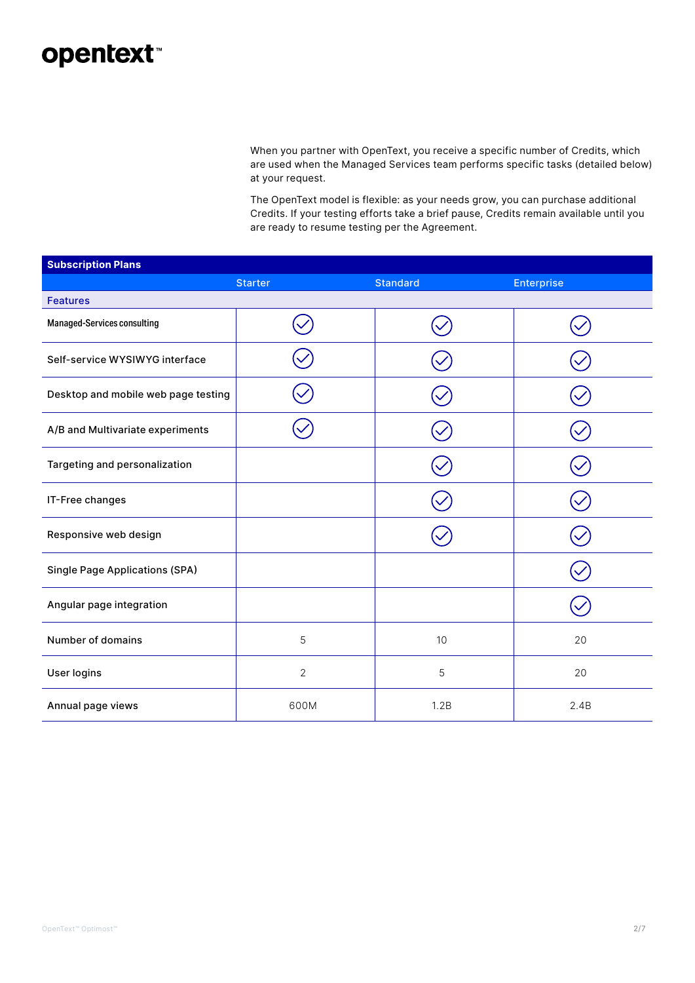## opentext<sup>®</sup>

When you partner with OpenText, you receive a specific number of Credits, which are used when the Managed Services team performs specific tasks (detailed below) at your request.

The OpenText model is flexible: as your needs grow, you can purchase additional Credits. If your testing efforts take a brief pause, Credits remain available until you are ready to resume testing per the Agreement.

| <b>Subscription Plans</b>             |                |                 |                   |
|---------------------------------------|----------------|-----------------|-------------------|
|                                       | <b>Starter</b> | <b>Standard</b> | <b>Enterprise</b> |
| <b>Features</b>                       |                |                 |                   |
| Managed-Services consulting           |                |                 |                   |
| Self-service WYSIWYG interface        |                |                 |                   |
| Desktop and mobile web page testing   |                |                 |                   |
| A/B and Multivariate experiments      |                |                 |                   |
| Targeting and personalization         |                |                 |                   |
| IT-Free changes                       |                |                 |                   |
| Responsive web design                 |                |                 |                   |
| <b>Single Page Applications (SPA)</b> |                |                 |                   |
| Angular page integration              |                |                 |                   |
| Number of domains                     | 5              | 10              | 20                |
| User logins                           | $\overline{2}$ | 5               | 20                |
| Annual page views                     | 600M           | 1.2B            | 2.4B              |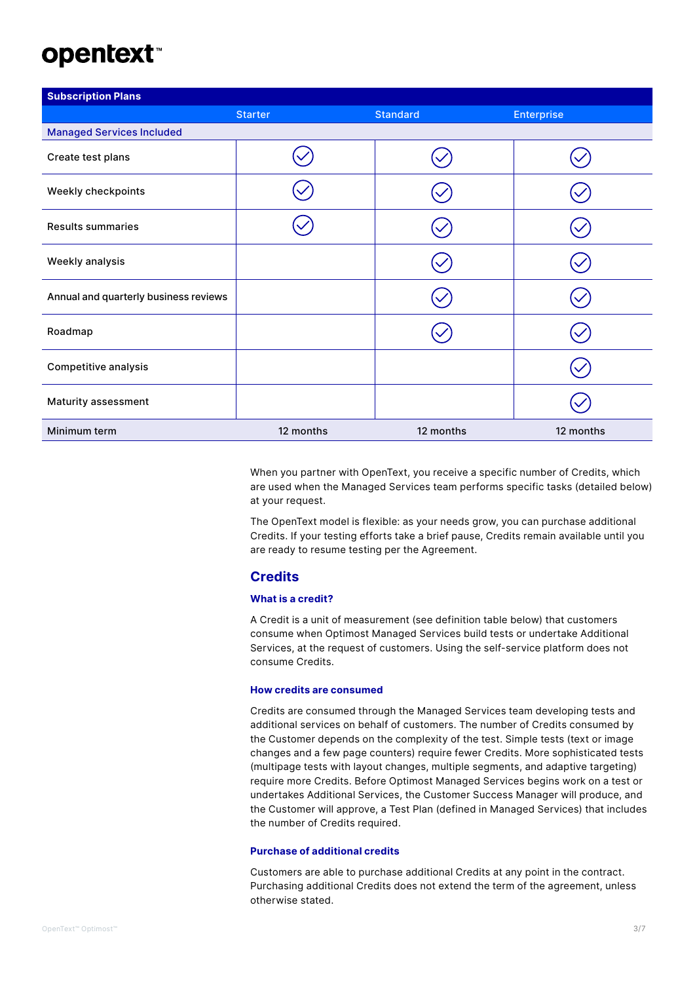# **opentext™**

| <b>Subscription Plans</b>             |                |                 |                   |
|---------------------------------------|----------------|-----------------|-------------------|
|                                       | <b>Starter</b> | <b>Standard</b> | <b>Enterprise</b> |
| <b>Managed Services Included</b>      |                |                 |                   |
| Create test plans                     |                |                 |                   |
| Weekly checkpoints                    |                |                 |                   |
| <b>Results summaries</b>              |                |                 |                   |
| Weekly analysis                       |                |                 |                   |
| Annual and quarterly business reviews |                |                 |                   |
| Roadmap                               |                |                 |                   |
| Competitive analysis                  |                |                 |                   |
| Maturity assessment                   |                |                 |                   |
| Minimum term                          | 12 months      | 12 months       | 12 months         |

When you partner with OpenText, you receive a specific number of Credits, which are used when the Managed Services team performs specific tasks (detailed below) at your request.

The OpenText model is flexible: as your needs grow, you can purchase additional Credits. If your testing efforts take a brief pause, Credits remain available until you are ready to resume testing per the Agreement.

#### **Credits**

#### **What is a credit?**

A Credit is a unit of measurement (see definition table below) that customers consume when Optimost Managed Services build tests or undertake Additional Services, at the request of customers. Using the self-service platform does not consume Credits.

#### **How credits are consumed**

Credits are consumed through the Managed Services team developing tests and additional services on behalf of customers. The number of Credits consumed by the Customer depends on the complexity of the test. Simple tests (text or image changes and a few page counters) require fewer Credits. More sophisticated tests (multipage tests with layout changes, multiple segments, and adaptive targeting) require more Credits. Before Optimost Managed Services begins work on a test or undertakes Additional Services, the Customer Success Manager will produce, and the Customer will approve, a Test Plan (defined in Managed Services) that includes the number of Credits required.

#### **Purchase of additional credits**

Customers are able to purchase additional Credits at any point in the contract. Purchasing additional Credits does not extend the term of the agreement, unless otherwise stated.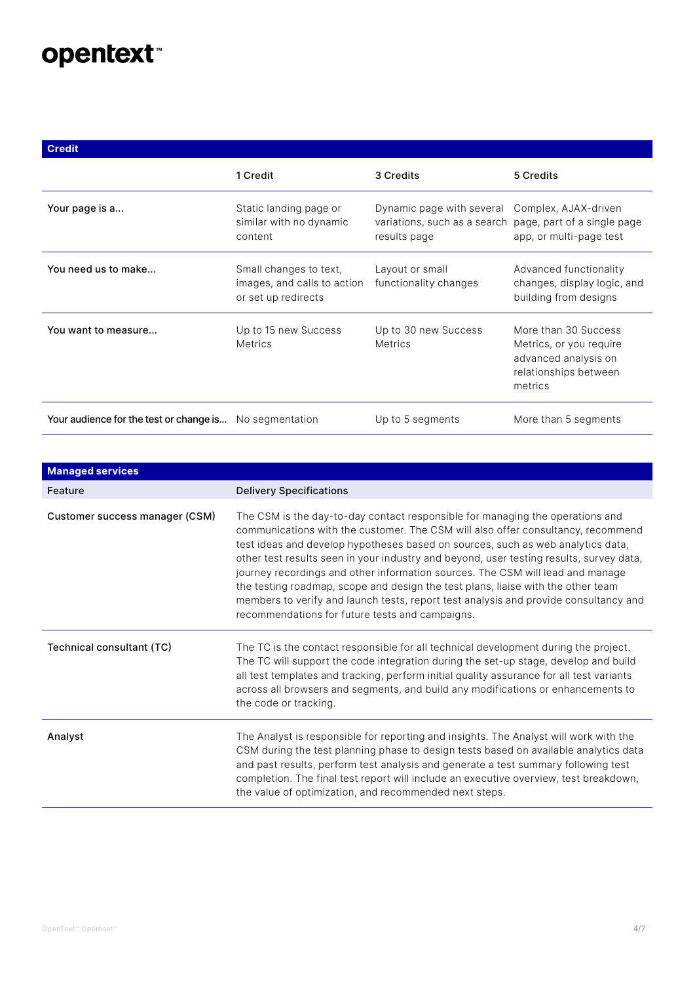# opentext<sup>\*</sup>

**Credit**

| <b>Crealt</b>                           |                                                                              |                                                                                                                            |                                                                                                             |
|-----------------------------------------|------------------------------------------------------------------------------|----------------------------------------------------------------------------------------------------------------------------|-------------------------------------------------------------------------------------------------------------|
|                                         | 1 Credit                                                                     | 3 Credits                                                                                                                  | 5 Credits                                                                                                   |
| Your page is a                          | Static landing page or<br>similar with no dynamic<br>content                 | Dynamic page with several Complex, AJAX-driven<br>variations, such as a search page, part of a single page<br>results page | app, or multi-page test                                                                                     |
| You need us to make                     | Small changes to text,<br>images, and calls to action<br>or set up redirects | Layout or small<br>functionality changes                                                                                   | Advanced functionality<br>changes, display logic, and<br>building from designs                              |
| You want to measure                     | Up to 15 new Success<br><b>Metrics</b>                                       | Up to 30 new Success<br><b>Metrics</b>                                                                                     | More than 30 Success<br>Metrics, or you require<br>advanced analysis on<br>relationships between<br>metrics |
| Your audience for the test or change is | No segmentation                                                              | Up to 5 segments                                                                                                           | More than 5 segments                                                                                        |

| <b>Managed services</b>          |                                                                                                                                                                                                                                                                                                                                                                                                                                                                                                                                                                                                                                                                  |
|----------------------------------|------------------------------------------------------------------------------------------------------------------------------------------------------------------------------------------------------------------------------------------------------------------------------------------------------------------------------------------------------------------------------------------------------------------------------------------------------------------------------------------------------------------------------------------------------------------------------------------------------------------------------------------------------------------|
| Feature                          | <b>Delivery Specifications</b>                                                                                                                                                                                                                                                                                                                                                                                                                                                                                                                                                                                                                                   |
| Customer success manager (CSM)   | The CSM is the day-to-day contact responsible for managing the operations and<br>communications with the customer. The CSM will also offer consultancy, recommend<br>test ideas and develop hypotheses based on sources, such as web analytics data,<br>other test results seen in your industry and beyond, user testing results, survey data,<br>journey recordings and other information sources. The CSM will lead and manage<br>the testing roadmap, scope and design the test plans, liaise with the other team<br>members to verify and launch tests, report test analysis and provide consultancy and<br>recommendations for future tests and campaigns. |
| <b>Technical consultant (TC)</b> | The TC is the contact responsible for all technical development during the project.<br>The TC will support the code integration during the set-up stage, develop and build<br>all test templates and tracking, perform initial quality assurance for all test variants<br>across all browsers and segments, and build any modifications or enhancements to<br>the code or tracking.                                                                                                                                                                                                                                                                              |
| Analyst                          | The Analyst is responsible for reporting and insights. The Analyst will work with the<br>CSM during the test planning phase to design tests based on available analytics data<br>and past results, perform test analysis and generate a test summary following test<br>completion. The final test report will include an executive overview, test breakdown,<br>the value of optimization, and recommended next steps.                                                                                                                                                                                                                                           |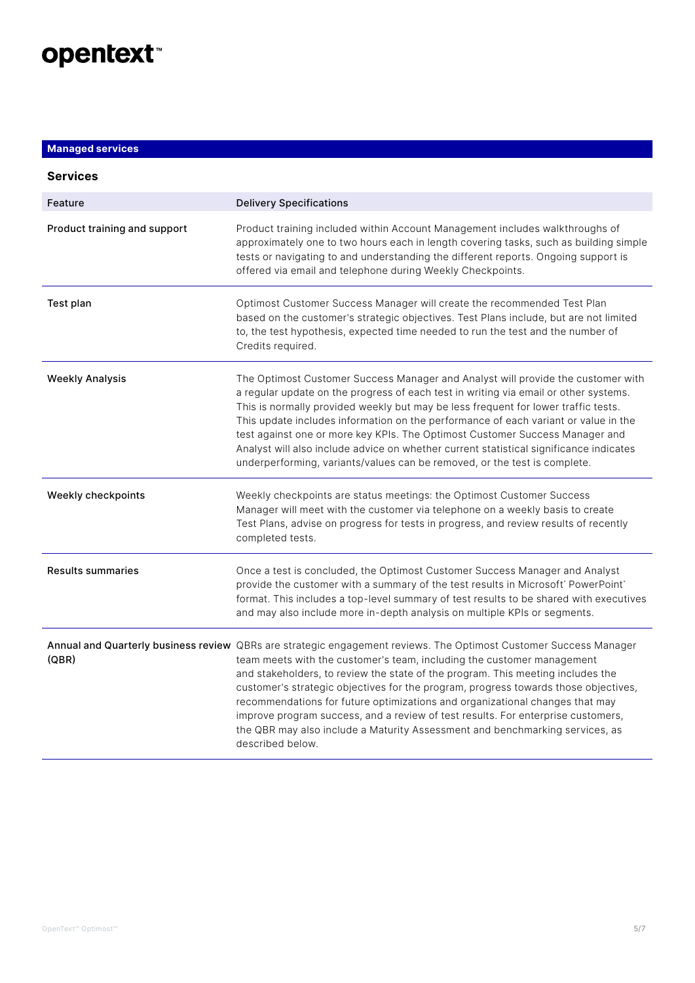

### **Managed services**

| <b>Services</b>              |                                                                                                                                                                                                                                                                                                                                                                                                                                                                                                                                                                                                                                               |
|------------------------------|-----------------------------------------------------------------------------------------------------------------------------------------------------------------------------------------------------------------------------------------------------------------------------------------------------------------------------------------------------------------------------------------------------------------------------------------------------------------------------------------------------------------------------------------------------------------------------------------------------------------------------------------------|
| Feature                      | <b>Delivery Specifications</b>                                                                                                                                                                                                                                                                                                                                                                                                                                                                                                                                                                                                                |
| Product training and support | Product training included within Account Management includes walkthroughs of<br>approximately one to two hours each in length covering tasks, such as building simple<br>tests or navigating to and understanding the different reports. Ongoing support is<br>offered via email and telephone during Weekly Checkpoints.                                                                                                                                                                                                                                                                                                                     |
| Test plan                    | Optimost Customer Success Manager will create the recommended Test Plan<br>based on the customer's strategic objectives. Test Plans include, but are not limited<br>to, the test hypothesis, expected time needed to run the test and the number of<br>Credits required.                                                                                                                                                                                                                                                                                                                                                                      |
| <b>Weekly Analysis</b>       | The Optimost Customer Success Manager and Analyst will provide the customer with<br>a regular update on the progress of each test in writing via email or other systems.<br>This is normally provided weekly but may be less frequent for lower traffic tests.<br>This update includes information on the performance of each variant or value in the<br>test against one or more key KPIs. The Optimost Customer Success Manager and<br>Analyst will also include advice on whether current statistical significance indicates<br>underperforming, variants/values can be removed, or the test is complete.                                  |
| Weekly checkpoints           | Weekly checkpoints are status meetings: the Optimost Customer Success<br>Manager will meet with the customer via telephone on a weekly basis to create<br>Test Plans, advise on progress for tests in progress, and review results of recently<br>completed tests.                                                                                                                                                                                                                                                                                                                                                                            |
| <b>Results summaries</b>     | Once a test is concluded, the Optimost Customer Success Manager and Analyst<br>provide the customer with a summary of the test results in Microsoft' PowerPoint'<br>format. This includes a top-level summary of test results to be shared with executives<br>and may also include more in-depth analysis on multiple KPIs or segments.                                                                                                                                                                                                                                                                                                       |
| (QBR)                        | Annual and Quarterly business review QBRs are strategic engagement reviews. The Optimost Customer Success Manager<br>team meets with the customer's team, including the customer management<br>and stakeholders, to review the state of the program. This meeting includes the<br>customer's strategic objectives for the program, progress towards those objectives,<br>recommendations for future optimizations and organizational changes that may<br>improve program success, and a review of test results. For enterprise customers,<br>the QBR may also include a Maturity Assessment and benchmarking services, as<br>described below. |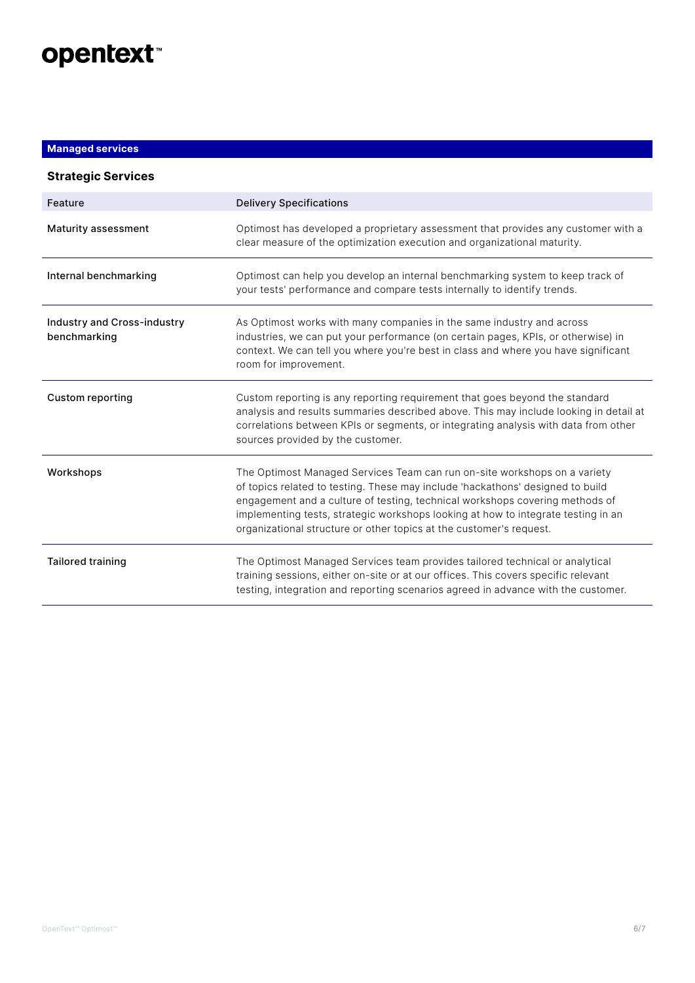

## **Managed services**

| <b>Strategic Services</b>                   |                                                                                                                                                                                                                                                                                                                                                                                                         |
|---------------------------------------------|---------------------------------------------------------------------------------------------------------------------------------------------------------------------------------------------------------------------------------------------------------------------------------------------------------------------------------------------------------------------------------------------------------|
| Feature                                     | <b>Delivery Specifications</b>                                                                                                                                                                                                                                                                                                                                                                          |
| Maturity assessment                         | Optimost has developed a proprietary assessment that provides any customer with a<br>clear measure of the optimization execution and organizational maturity.                                                                                                                                                                                                                                           |
| Internal benchmarking                       | Optimost can help you develop an internal benchmarking system to keep track of<br>your tests' performance and compare tests internally to identify trends.                                                                                                                                                                                                                                              |
| Industry and Cross-industry<br>benchmarking | As Optimost works with many companies in the same industry and across<br>industries, we can put your performance (on certain pages, KPIs, or otherwise) in<br>context. We can tell you where you're best in class and where you have significant<br>room for improvement.                                                                                                                               |
| <b>Custom reporting</b>                     | Custom reporting is any reporting requirement that goes beyond the standard<br>analysis and results summaries described above. This may include looking in detail at<br>correlations between KPIs or segments, or integrating analysis with data from other<br>sources provided by the customer.                                                                                                        |
| Workshops                                   | The Optimost Managed Services Team can run on-site workshops on a variety<br>of topics related to testing. These may include 'hackathons' designed to build<br>engagement and a culture of testing, technical workshops covering methods of<br>implementing tests, strategic workshops looking at how to integrate testing in an<br>organizational structure or other topics at the customer's request. |
| <b>Tailored training</b>                    | The Optimost Managed Services team provides tailored technical or analytical<br>training sessions, either on-site or at our offices. This covers specific relevant<br>testing, integration and reporting scenarios agreed in advance with the customer.                                                                                                                                                 |
|                                             |                                                                                                                                                                                                                                                                                                                                                                                                         |